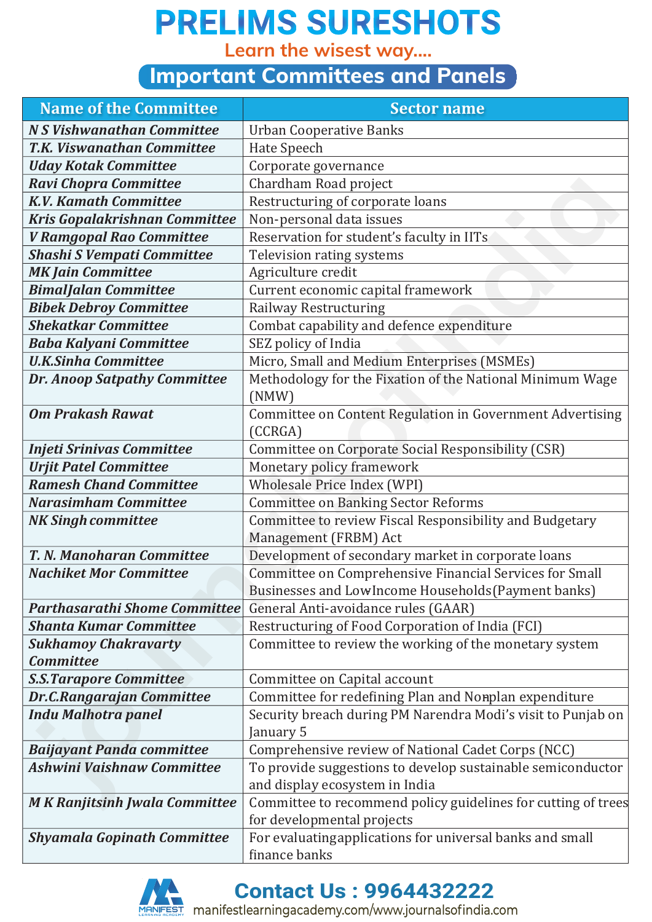**Learn the wisest way....**

#### **Important Committees and Panels**

| <b>Name of the Committee</b>         | <b>Sector name</b>                                                                                         |  |
|--------------------------------------|------------------------------------------------------------------------------------------------------------|--|
| <b>N S Vishwanathan Committee</b>    | <b>Urban Cooperative Banks</b>                                                                             |  |
| <b>T.K. Viswanathan Committee</b>    | Hate Speech                                                                                                |  |
| <b>Uday Kotak Committee</b>          | Corporate governance                                                                                       |  |
| <b>Ravi Chopra Committee</b>         | Chardham Road project                                                                                      |  |
| <b>K.V. Kamath Committee</b>         | Restructuring of corporate loans                                                                           |  |
| Kris Gopalakrishnan Committee        | Non-personal data issues                                                                                   |  |
| V Ramgopal Rao Committee             | Reservation for student's faculty in IITs                                                                  |  |
| <b>Shashi S Vempati Committee</b>    | Television rating systems                                                                                  |  |
| <b>MK Jain Committee</b>             | Agriculture credit                                                                                         |  |
| <b>BimalJalan Committee</b>          | Current economic capital framework                                                                         |  |
| <b>Bibek Debroy Committee</b>        | Railway Restructuring                                                                                      |  |
| <b>Shekatkar Committee</b>           | Combat capability and defence expenditure                                                                  |  |
| <b>Baba Kalyani Committee</b>        | SEZ policy of India                                                                                        |  |
| <b>U.K.Sinha Committee</b>           | Micro, Small and Medium Enterprises (MSMEs)                                                                |  |
| <b>Dr. Anoop Satpathy Committee</b>  | Methodology for the Fixation of the National Minimum Wage                                                  |  |
|                                      | (NMW)                                                                                                      |  |
| <b>Om Prakash Rawat</b>              | Committee on Content Regulation in Government Advertising                                                  |  |
|                                      | (CCRGA)                                                                                                    |  |
| <b>Injeti Srinivas Committee</b>     | Committee on Corporate Social Responsibility (CSR)                                                         |  |
| <b>Urjit Patel Committee</b>         | Monetary policy framework                                                                                  |  |
| <b>Ramesh Chand Committee</b>        | <b>Wholesale Price Index (WPI)</b>                                                                         |  |
| <b>Narasimham Committee</b>          | <b>Committee on Banking Sector Reforms</b>                                                                 |  |
| <b>NK Singh committee</b>            | Committee to review Fiscal Responsibility and Budgetary                                                    |  |
|                                      | Management (FRBM) Act                                                                                      |  |
| <b>T. N. Manoharan Committee</b>     | Development of secondary market in corporate loans                                                         |  |
| <b>Nachiket Mor Committee</b>        | Committee on Comprehensive Financial Services for Small                                                    |  |
| <b>Parthasarathi Shome Committee</b> | Businesses and LowIncome Households (Payment banks)                                                        |  |
| <b>Shanta Kumar Committee</b>        | General Anti-avoidance rules (GAAR)                                                                        |  |
| <b>Sukhamoy Chakravarty</b>          | Restructuring of Food Corporation of India (FCI)<br>Committee to review the working of the monetary system |  |
| <b>Committee</b>                     |                                                                                                            |  |
| <b>S.S. Tarapore Committee</b>       | Committee on Capital account                                                                               |  |
| <b>Dr.C.Rangarajan Committee</b>     | Committee for redefining Plan and Nonplan expenditure                                                      |  |
| <b>Indu Malhotra panel</b>           | Security breach during PM Narendra Modi's visit to Punjab on                                               |  |
|                                      | January 5                                                                                                  |  |
| <b>Baijayant Panda committee</b>     | Comprehensive review of National Cadet Corps (NCC)                                                         |  |
| <b>Ashwini Vaishnaw Committee</b>    | To provide suggestions to develop sustainable semiconductor                                                |  |
|                                      | and display ecosystem in India                                                                             |  |
| <b>MK</b> Ranjitsinh Jwala Committee | Committee to recommend policy guidelines for cutting of trees                                              |  |
|                                      | for developmental projects                                                                                 |  |
| <b>Shyamala Gopinath Committee</b>   | For evaluating applications for universal banks and small                                                  |  |
|                                      | finance banks                                                                                              |  |



**Contact Us : 9964432222**

**THEST**<br>IFEST manifestlearningacademy.com/www.journalsofindia.com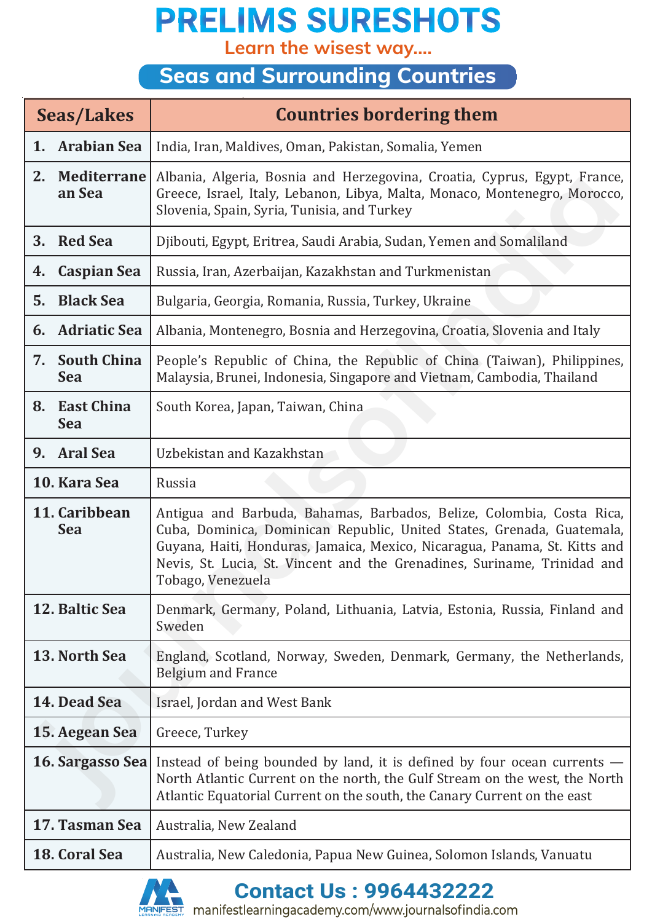**Learn the wisest way....**

### **Seas and Surrounding Countries**

| <b>Seas/Lakes</b> |                                                                                                                                                                                                                                                                                                                                                               | <b>Countries bordering them</b>                                                                                                                                                                        |
|-------------------|---------------------------------------------------------------------------------------------------------------------------------------------------------------------------------------------------------------------------------------------------------------------------------------------------------------------------------------------------------------|--------------------------------------------------------------------------------------------------------------------------------------------------------------------------------------------------------|
| 1.                | <b>Arabian Sea</b>                                                                                                                                                                                                                                                                                                                                            | India, Iran, Maldives, Oman, Pakistan, Somalia, Yemen                                                                                                                                                  |
| 2.                | <b>Mediterrane</b><br>an Sea                                                                                                                                                                                                                                                                                                                                  | Albania, Algeria, Bosnia and Herzegovina, Croatia, Cyprus, Egypt, France,<br>Greece, Israel, Italy, Lebanon, Libya, Malta, Monaco, Montenegro, Morocco,<br>Slovenia, Spain, Syria, Tunisia, and Turkey |
| 3.                | <b>Red Sea</b>                                                                                                                                                                                                                                                                                                                                                | Djibouti, Egypt, Eritrea, Saudi Arabia, Sudan, Yemen and Somaliland                                                                                                                                    |
| 4.                | <b>Caspian Sea</b>                                                                                                                                                                                                                                                                                                                                            | Russia, Iran, Azerbaijan, Kazakhstan and Turkmenistan                                                                                                                                                  |
| 5.                | <b>Black Sea</b>                                                                                                                                                                                                                                                                                                                                              | Bulgaria, Georgia, Romania, Russia, Turkey, Ukraine                                                                                                                                                    |
| 6.                | <b>Adriatic Sea</b>                                                                                                                                                                                                                                                                                                                                           | Albania, Montenegro, Bosnia and Herzegovina, Croatia, Slovenia and Italy                                                                                                                               |
| 7.                | <b>South China</b><br><b>Sea</b>                                                                                                                                                                                                                                                                                                                              | People's Republic of China, the Republic of China (Taiwan), Philippines,<br>Malaysia, Brunei, Indonesia, Singapore and Vietnam, Cambodia, Thailand                                                     |
| 8.                | <b>East China</b><br><b>Sea</b>                                                                                                                                                                                                                                                                                                                               | South Korea, Japan, Taiwan, China                                                                                                                                                                      |
| 9.                | <b>Aral Sea</b>                                                                                                                                                                                                                                                                                                                                               | Uzbekistan and Kazakhstan                                                                                                                                                                              |
|                   | 10. Kara Sea                                                                                                                                                                                                                                                                                                                                                  | Russia                                                                                                                                                                                                 |
|                   | 11. Caribbean<br>Antigua and Barbuda, Bahamas, Barbados, Belize, Colombia, Costa Rica,<br><b>Sea</b><br>Cuba, Dominica, Dominican Republic, United States, Grenada, Guatemala,<br>Guyana, Haiti, Honduras, Jamaica, Mexico, Nicaragua, Panama, St. Kitts and<br>Nevis, St. Lucia, St. Vincent and the Grenadines, Suriname, Trinidad and<br>Tobago, Venezuela |                                                                                                                                                                                                        |
|                   | 12. Baltic Sea                                                                                                                                                                                                                                                                                                                                                | Denmark, Germany, Poland, Lithuania, Latvia, Estonia, Russia, Finland and<br>Sweden                                                                                                                    |
|                   | 13. North Sea                                                                                                                                                                                                                                                                                                                                                 | England, Scotland, Norway, Sweden, Denmark, Germany, the Netherlands,<br><b>Belgium and France</b>                                                                                                     |
|                   | 14. Dead Sea<br>Israel, Jordan and West Bank                                                                                                                                                                                                                                                                                                                  |                                                                                                                                                                                                        |
|                   | 15. Aegean Sea<br>Greece, Turkey                                                                                                                                                                                                                                                                                                                              |                                                                                                                                                                                                        |
|                   | 16. Sargasso Sea<br>Instead of being bounded by land, it is defined by four ocean currents –<br>North Atlantic Current on the north, the Gulf Stream on the west, the North<br>Atlantic Equatorial Current on the south, the Canary Current on the east                                                                                                       |                                                                                                                                                                                                        |
|                   | 17. Tasman Sea                                                                                                                                                                                                                                                                                                                                                | Australia, New Zealand                                                                                                                                                                                 |
|                   | 18. Coral Sea                                                                                                                                                                                                                                                                                                                                                 | Australia, New Caledonia, Papua New Guinea, Solomon Islands, Vanuatu                                                                                                                                   |



**Contact Us : 9964432222**

manifestlearningacademy.com/www.journalsofindia.com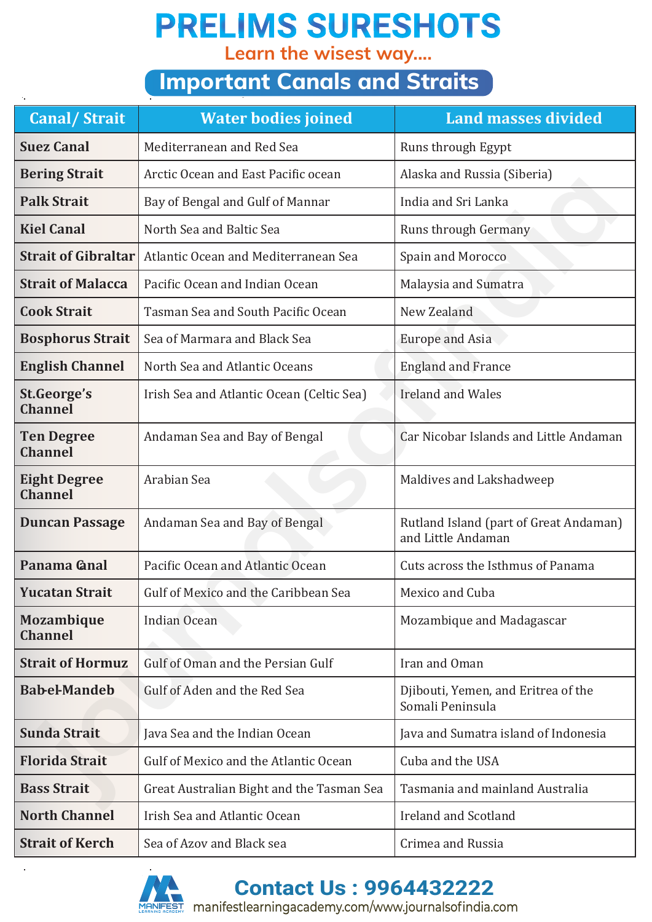**Learn the wisest way....**

### **Important Canals and Straits**

| <b>Canal/Strait</b>                                             | <b>Water bodies joined</b>                | <b>Land masses divided</b>                                   |
|-----------------------------------------------------------------|-------------------------------------------|--------------------------------------------------------------|
| <b>Suez Canal</b>                                               | Mediterranean and Red Sea                 | Runs through Egypt                                           |
| <b>Bering Strait</b>                                            | Arctic Ocean and East Pacific ocean       | Alaska and Russia (Siberia)                                  |
| <b>Palk Strait</b>                                              | Bay of Bengal and Gulf of Mannar          | India and Sri Lanka                                          |
| <b>Kiel Canal</b>                                               | North Sea and Baltic Sea                  | <b>Runs through Germany</b>                                  |
| <b>Strait of Gibraltar</b>                                      | Atlantic Ocean and Mediterranean Sea      | Spain and Morocco                                            |
| <b>Strait of Malacca</b>                                        | Pacific Ocean and Indian Ocean            | Malaysia and Sumatra                                         |
| <b>Cook Strait</b>                                              | Tasman Sea and South Pacific Ocean        | New Zealand                                                  |
| <b>Bosphorus Strait</b>                                         | Sea of Marmara and Black Sea              | <b>Europe and Asia</b>                                       |
| <b>English Channel</b><br>North Sea and Atlantic Oceans         |                                           | <b>England and France</b>                                    |
| St.George's<br><b>Channel</b>                                   | Irish Sea and Atlantic Ocean (Celtic Sea) | <b>Ireland and Wales</b>                                     |
| <b>Ten Degree</b><br><b>Channel</b>                             | Andaman Sea and Bay of Bengal             | Car Nicobar Islands and Little Andaman                       |
| <b>Eight Degree</b><br><b>Channel</b>                           | Arabian Sea                               | Maldives and Lakshadweep                                     |
| <b>Duncan Passage</b>                                           | Andaman Sea and Bay of Bengal             | Rutland Island (part of Great Andaman)<br>and Little Andaman |
| Panama <b>Gnal</b>                                              | Pacific Ocean and Atlantic Ocean          | Cuts across the Isthmus of Panama                            |
| <b>Yucatan Strait</b>                                           | Gulf of Mexico and the Caribbean Sea      | Mexico and Cuba                                              |
| <b>Mozambique</b><br><b>Channel</b>                             | Indian Ocean                              | Mozambique and Madagascar                                    |
| <b>Strait of Hormuz</b>                                         | Gulf of Oman and the Persian Gulf         | Iran and Oman                                                |
| <b>Babel-Mandeb</b>                                             | Gulf of Aden and the Red Sea              | Djibouti, Yemen, and Eritrea of the<br>Somali Peninsula      |
| <b>Sunda Strait</b><br>Java Sea and the Indian Ocean            |                                           | Java and Sumatra island of Indonesia                         |
| <b>Florida Strait</b><br>Gulf of Mexico and the Atlantic Ocean  |                                           | Cuba and the USA                                             |
| <b>Bass Strait</b><br>Great Australian Bight and the Tasman Sea |                                           | Tasmania and mainland Australia                              |
| <b>North Channel</b><br>Irish Sea and Atlantic Ocean            |                                           | <b>Ireland and Scotland</b>                                  |
| <b>Strait of Kerch</b><br>Sea of Azov and Black sea             |                                           | Crimea and Russia                                            |



**Contact Us : 9964432222**

manifestlearningacademy.com/www.journalsofindia.com